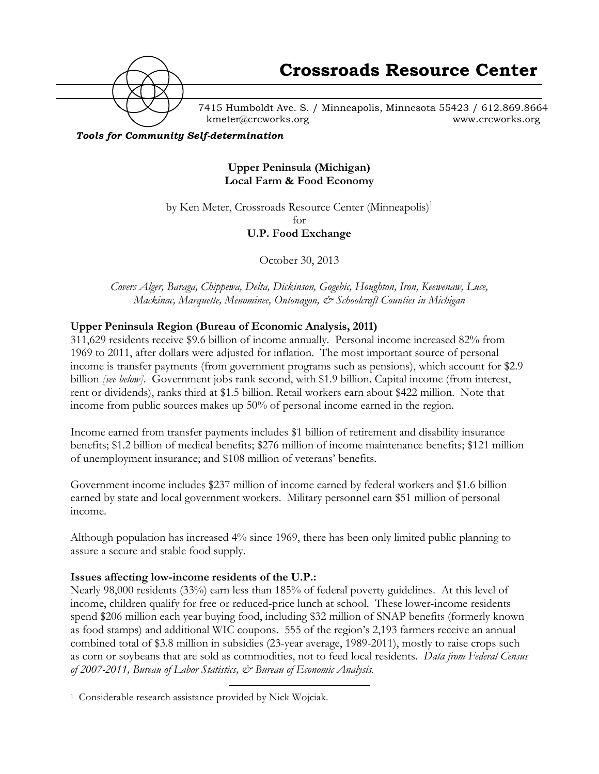

7415 Humboldt Ave. S. / Minneapolis, Minnesota 55423 / 612.869.8664 kmeter@crcworks.org www.crcworks.org

*Tools for Community Self-determination*

## **Upper Peninsula (Michigan) Local Farm & Food Economy**

by Ken Meter, Crossroads Resource Center (Minneapolis)<sup>1</sup>

for

## **U.P. Food Exchange**

October 30, 2013

*Covers Alger, Baraga, Chippewa, Delta, Dickinson, Gogebic, Houghton, Iron, Keewenaw, Luce, Mackinac, Marquette, Menominee, Ontonagon, & Schoolcraft Counties in Michigan*

## **Upper Peninsula Region (Bureau of Economic Analysis, 2011)**

311,629 residents receive \$9.6 billion of income annually. Personal income increased 82% from 1969 to 2011, after dollars were adjusted for inflation. The most important source of personal income is transfer payments (from government programs such as pensions), which account for \$2.9 billion *[see below]*. Government jobs rank second, with \$1.9 billion. Capital income (from interest, rent or dividends), ranks third at \$1.5 billion. Retail workers earn about \$422 million. Note that income from public sources makes up 50% of personal income earned in the region.

Income earned from transfer payments includes \$1 billion of retirement and disability insurance benefits; \$1.2 billion of medical benefits; \$276 million of income maintenance benefits; \$121 million of unemployment insurance; and \$108 million of veterans' benefits.

Government income includes \$237 million of income earned by federal workers and \$1.6 billion earned by state and local government workers. Military personnel earn \$51 million of personal income.

Although population has increased 4% since 1969, there has been only limited public planning to assure a secure and stable food supply.

### **Issues affecting low-income residents of the U.P.:**

Nearly 98,000 residents (33%) earn less than 185% of federal poverty guidelines. At this level of income, children qualify for free or reduced-price lunch at school. These lower-income residents spend \$206 million each year buying food, including \$32 million of SNAP benefits (formerly known as food stamps) and additional WIC coupons. 555 of the region's 2,193 farmers receive an annual combined total of \$3.8 million in subsidies (23-year average, 1989-2011), mostly to raise crops such as corn or soybeans that are sold as commodities, not to feed local residents. *Data from Federal Census of 2007-2011, Bureau of Labor Statistics, & Bureau of Economic Analysis.*

 <sup>1</sup> Considerable research assistance provided by Nick Wojciak.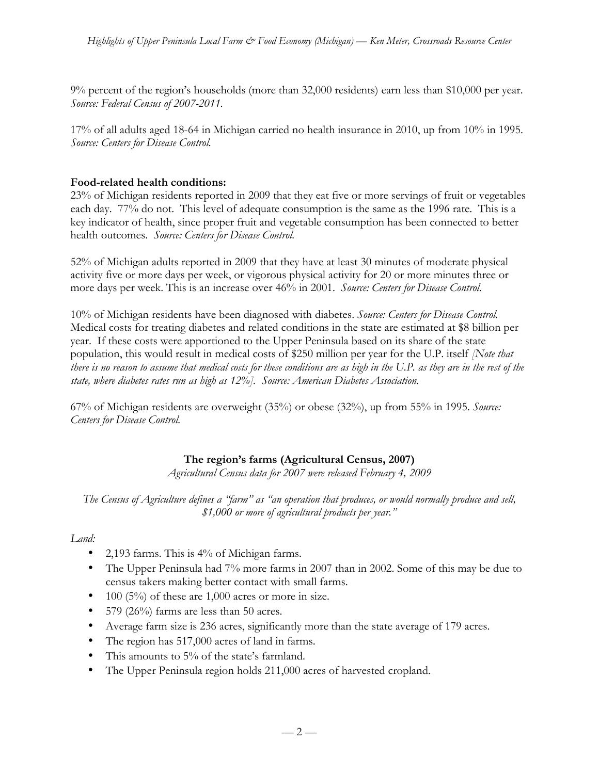9% percent of the region's households (more than 32,000 residents) earn less than \$10,000 per year. *Source: Federal Census of 2007-2011.*

17% of all adults aged 18-64 in Michigan carried no health insurance in 2010, up from 10% in 1995. *Source: Centers for Disease Control.*

## **Food-related health conditions:**

23% of Michigan residents reported in 2009 that they eat five or more servings of fruit or vegetables each day. 77% do not. This level of adequate consumption is the same as the 1996 rate. This is a key indicator of health, since proper fruit and vegetable consumption has been connected to better health outcomes. *Source: Centers for Disease Control.*

52% of Michigan adults reported in 2009 that they have at least 30 minutes of moderate physical activity five or more days per week, or vigorous physical activity for 20 or more minutes three or more days per week. This is an increase over 46% in 2001. *Source: Centers for Disease Control.*

10% of Michigan residents have been diagnosed with diabetes. *Source: Centers for Disease Control.* Medical costs for treating diabetes and related conditions in the state are estimated at \$8 billion per year. If these costs were apportioned to the Upper Peninsula based on its share of the state population, this would result in medical costs of \$250 million per year for the U.P. itself *[Note that there is no reason to assume that medical costs for these conditions are as high in the U.P. as they are in the rest of the state, where diabetes rates run as high as 12%]. Source: American Diabetes Association.*

67% of Michigan residents are overweight (35%) or obese (32%), up from 55% in 1995. *Source: Centers for Disease Control.*

# **The region's farms (Agricultural Census, 2007)**

*Agricultural Census data for 2007 were released February 4, 2009*

*The Census of Agriculture defines a "farm" as "an operation that produces, or would normally produce and sell, \$1,000 or more of agricultural products per year."*

### *Land:*

- 2,193 farms. This is 4% of Michigan farms.
- The Upper Peninsula had 7% more farms in 2007 than in 2002. Some of this may be due to census takers making better contact with small farms.
- 100 (5%) of these are  $1,000$  acres or more in size.
- 579 (26%) farms are less than 50 acres.
- Average farm size is 236 acres, significantly more than the state average of 179 acres.
- The region has 517,000 acres of land in farms.
- This amounts to 5% of the state's farmland.
- The Upper Peninsula region holds 211,000 acres of harvested cropland.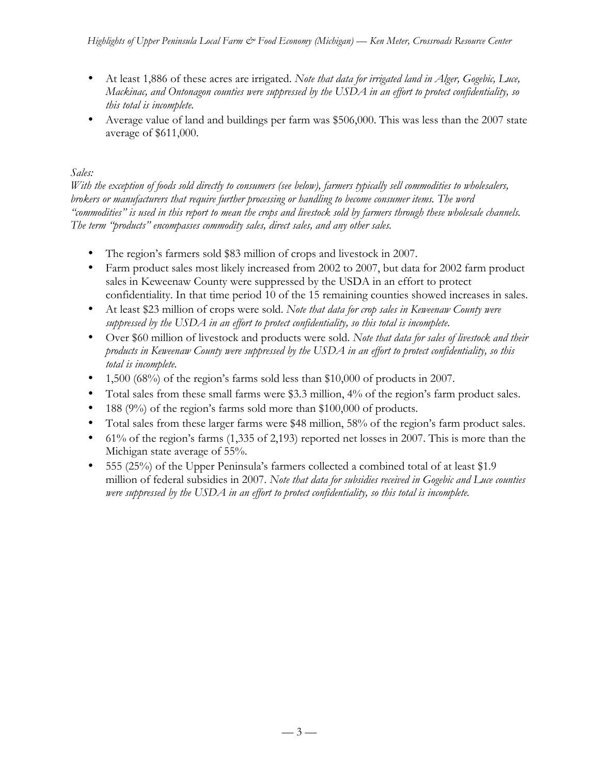- At least 1,886 of these acres are irrigated. *Note that data for irrigated land in Alger, Gogebic, Luce, Mackinac, and Ontonagon counties were suppressed by the USDA in an effort to protect confidentiality, so this total is incomplete.*
- Average value of land and buildings per farm was \$506,000. This was less than the 2007 state average of \$611,000.

# *Sales:*

*With the exception of foods sold directly to consumers (see below), farmers typically sell commodities to wholesalers, brokers or manufacturers that require further processing or handling to become consumer items. The word "commodities" is used in this report to mean the crops and livestock sold by farmers through these wholesale channels. The term "products" encompasses commodity sales, direct sales, and any other sales.* 

- The region's farmers sold \$83 million of crops and livestock in 2007.
- Farm product sales most likely increased from 2002 to 2007, but data for 2002 farm product sales in Keweenaw County were suppressed by the USDA in an effort to protect confidentiality. In that time period 10 of the 15 remaining counties showed increases in sales.
- At least \$23 million of crops were sold. *Note that data for crop sales in Keweenaw County were suppressed by the USDA in an effort to protect confidentiality, so this total is incomplete.*
- Over \$60 million of livestock and products were sold. *Note that data for sales of livestock and their products in Keweenaw County were suppressed by the USDA in an effort to protect confidentiality, so this total is incomplete.*
- 1,500 (68%) of the region's farms sold less than \$10,000 of products in 2007.
- Total sales from these small farms were \$3.3 million, 4% of the region's farm product sales.
- 188 (9%) of the region's farms sold more than \$100,000 of products.
- Total sales from these larger farms were \$48 million, 58% of the region's farm product sales.
- 61% of the region's farms (1,335 of 2,193) reported net losses in 2007. This is more than the Michigan state average of 55%.
- 555 (25%) of the Upper Peninsula's farmers collected a combined total of at least \$1.9 million of federal subsidies in 2007. *Note that data for subsidies received in Gogebic and Luce counties were suppressed by the USDA in an effort to protect confidentiality, so this total is incomplete.*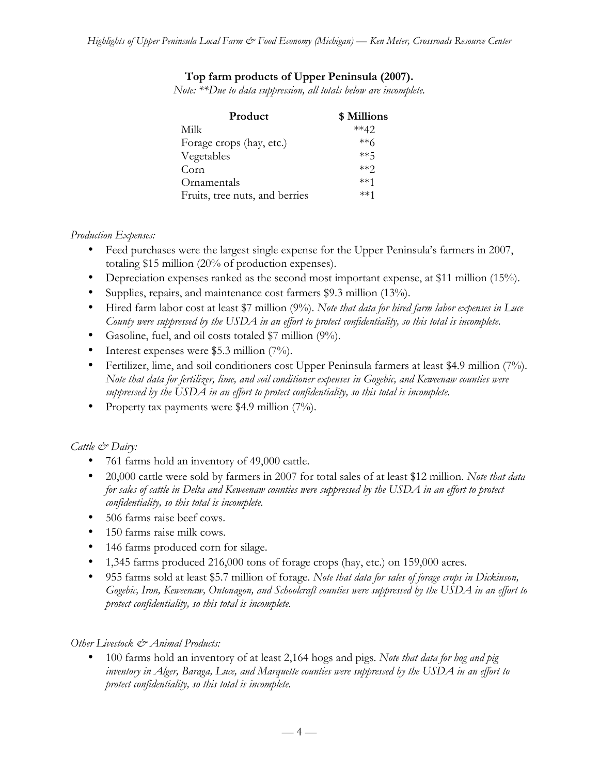# **Top farm products of Upper Peninsula (2007).**

*Note: \*\*Due to data suppression, all totals below are incomplete.* 

| \$ Millions |
|-------------|
| $**42$      |
| $***6$      |
| **5         |
| $**$ ?      |
| $***1$      |
| $***1$      |
|             |

## *Production Expenses:*

- Feed purchases were the largest single expense for the Upper Peninsula's farmers in 2007, totaling \$15 million (20% of production expenses).
- Depreciation expenses ranked as the second most important expense, at \$11 million (15%).
- Supplies, repairs, and maintenance cost farmers \$9.3 million (13%).
- Hired farm labor cost at least \$7 million (9%). *Note that data for hired farm labor expenses in Luce County were suppressed by the USDA in an effort to protect confidentiality, so this total is incomplete.*
- Gasoline, fuel, and oil costs totaled \$7 million (9%).
- Interest expenses were \$5.3 million (7%).
- Fertilizer, lime, and soil conditioners cost Upper Peninsula farmers at least \$4.9 million (7%). *Note that data for fertilizer, lime, and soil conditioner expenses in Gogebic, and Keweenaw counties were suppressed by the USDA in an effort to protect confidentiality, so this total is incomplete.*
- Property tax payments were \$4.9 million (7%).

# *Cattle & Dairy:*

- 761 farms hold an inventory of 49,000 cattle.
- 20,000 cattle were sold by farmers in 2007 for total sales of at least \$12 million. *Note that data for sales of cattle in Delta and Keweenaw counties were suppressed by the USDA in an effort to protect confidentiality, so this total is incomplete.*
- 506 farms raise beef cows.
- 150 farms raise milk cows.
- 146 farms produced corn for silage.
- 1,345 farms produced 216,000 tons of forage crops (hay, etc.) on 159,000 acres.
- 955 farms sold at least \$5.7 million of forage. *Note that data for sales of forage crops in Dickinson, Gogebic, Iron, Keweenaw, Ontonagon, and Schoolcraft counties were suppressed by the USDA in an effort to protect confidentiality, so this total is incomplete.*

# *Other Livestock & Animal Products:*

• 100 farms hold an inventory of at least 2,164 hogs and pigs. *Note that data for hog and pig inventory in Alger, Baraga, Luce, and Marquette counties were suppressed by the USDA in an effort to protect confidentiality, so this total is incomplete.*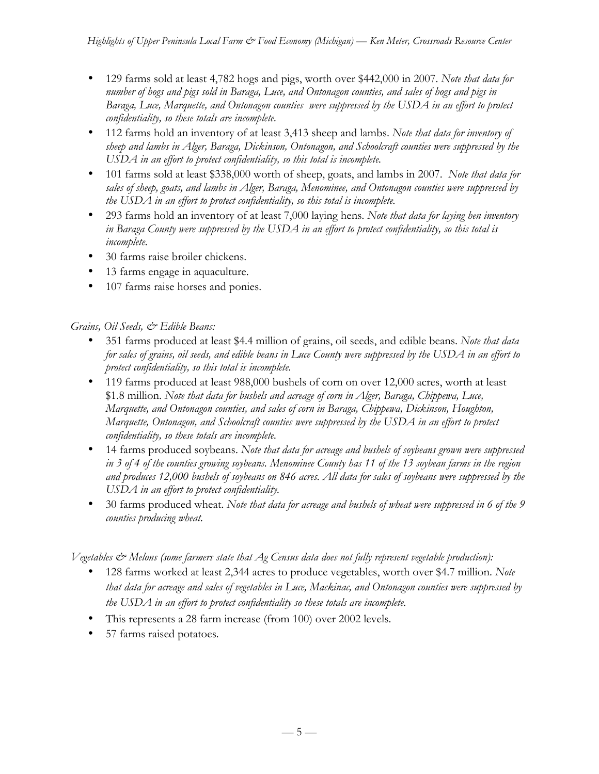- 129 farms sold at least 4,782 hogs and pigs, worth over \$442,000 in 2007. *Note that data for number of hogs and pigs sold in Baraga, Luce, and Ontonagon counties, and sales of hogs and pigs in Baraga, Luce, Marquette, and Ontonagon counties were suppressed by the USDA in an effort to protect confidentiality, so these totals are incomplete.*
- 112 farms hold an inventory of at least 3,413 sheep and lambs. *Note that data for inventory of sheep and lambs in Alger, Baraga, Dickinson, Ontonagon, and Schoolcraft counties were suppressed by the USDA in an effort to protect confidentiality, so this total is incomplete.*
- 101 farms sold at least \$338,000 worth of sheep, goats, and lambs in 2007. *Note that data for sales of sheep, goats, and lambs in Alger, Baraga, Menominee, and Ontonagon counties were suppressed by the USDA in an effort to protect confidentiality, so this total is incomplete.*
- 293 farms hold an inventory of at least 7,000 laying hens*. Note that data for laying hen inventory in Baraga County were suppressed by the USDA in an effort to protect confidentiality, so this total is incomplete.*
- 30 farms raise broiler chickens.
- 13 farms engage in aquaculture.
- 107 farms raise horses and ponies.

# *Grains, Oil Seeds, & Edible Beans:*

- 351 farms produced at least \$4.4 million of grains, oil seeds, and edible beans. *Note that data for sales of grains, oil seeds, and edible beans in Luce County were suppressed by the USDA in an effort to protect confidentiality, so this total is incomplete.*
- 119 farms produced at least 988,000 bushels of corn on over 12,000 acres, worth at least \$1.8 million. *Note that data for bushels and acreage of corn in Alger, Baraga, Chippewa, Luce, Marquette, and Ontonagon counties, and sales of corn in Baraga, Chippewa, Dickinson, Houghton, Marquette, Ontonagon, and Schoolcraft counties were suppressed by the USDA in an effort to protect confidentiality, so these totals are incomplete.*
- 14 farms produced soybeans. *Note that data for acreage and bushels of soybeans grown were suppressed in 3 of 4 of the counties growing soybeans. Menominee County has 11 of the 13 soybean farms in the region and produces 12,000 bushels of soybeans on 846 acres. All data for sales of soybeans were suppressed by the USDA in an effort to protect confidentiality.*
- 30 farms produced wheat. *Note that data for acreage and bushels of wheat were suppressed in 6 of the 9 counties producing wheat.*

*Vegetables & Melons (some farmers state that Ag Census data does not fully represent vegetable production):*

- 128 farms worked at least 2,344 acres to produce vegetables, worth over \$4.7 million. *Note that data for acreage and sales of vegetables in Luce, Mackinac, and Ontonagon counties were suppressed by the USDA in an effort to protect confidentiality so these totals are incomplete.*
- This represents a 28 farm increase (from 100) over 2002 levels.
- 57 farms raised potatoes*.*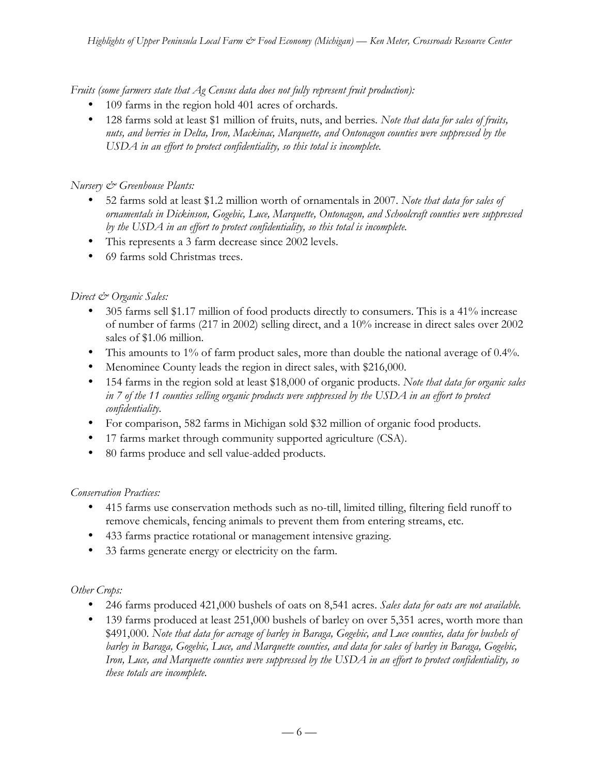*Fruits (some farmers state that Ag Census data does not fully represent fruit production):*

- 109 farms in the region hold 401 acres of orchards.
- 128 farms sold at least \$1 million of fruits, nuts, and berries*. Note that data for sales of fruits, nuts, and berries in Delta, Iron, Mackinac, Marquette, and Ontonagon counties were suppressed by the USDA in an effort to protect confidentiality, so this total is incomplete.*

## *Nursery & Greenhouse Plants:*

- 52 farms sold at least \$1.2 million worth of ornamentals in 2007. *Note that data for sales of ornamentals in Dickinson, Gogebic, Luce, Marquette, Ontonagon, and Schoolcraft counties were suppressed by the USDA in an effort to protect confidentiality, so this total is incomplete.*
- This represents a 3 farm decrease since 2002 levels.
- 69 farms sold Christmas trees.

## *Direct & Organic Sales:*

- 305 farms sell \$1.17 million of food products directly to consumers. This is a 41% increase of number of farms (217 in 2002) selling direct, and a 10% increase in direct sales over 2002 sales of \$1.06 million.
- This amounts to 1% of farm product sales, more than double the national average of 0.4%.
- Menominee County leads the region in direct sales, with \$216,000.
- 154 farms in the region sold at least \$18,000 of organic products. *Note that data for organic sales in 7 of the 11 counties selling organic products were suppressed by the USDA in an effort to protect confidentiality.*
- For comparison, 582 farms in Michigan sold \$32 million of organic food products.
- 17 farms market through community supported agriculture (CSA).
- 80 farms produce and sell value-added products.

### *Conservation Practices:*

- 415 farms use conservation methods such as no-till, limited tilling, filtering field runoff to remove chemicals, fencing animals to prevent them from entering streams, etc.
- 433 farms practice rotational or management intensive grazing.
- 33 farms generate energy or electricity on the farm.

### *Other Crops:*

- 246 farms produced 421,000 bushels of oats on 8,541 acres. *Sales data for oats are not available.*
- 139 farms produced at least 251,000 bushels of barley on over 5,351 acres, worth more than \$491,000. *Note that data for acreage of barley in Baraga, Gogebic, and Luce counties, data for bushels of barley in Baraga, Gogebic, Luce, and Marquette counties, and data for sales of barley in Baraga, Gogebic, Iron, Luce, and Marquette counties were suppressed by the USDA in an effort to protect confidentiality, so these totals are incomplete.*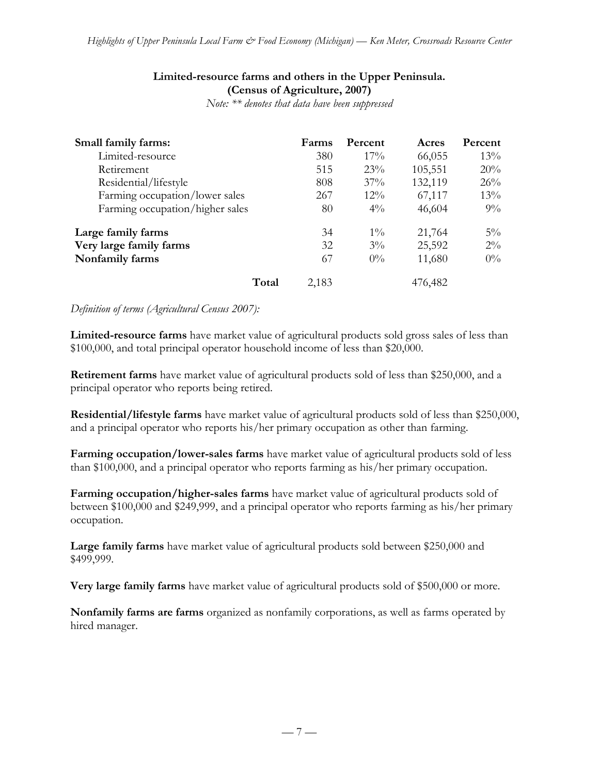## **Limited-resource farms and others in the Upper Peninsula. (Census of Agriculture, 2007)**

*Note: \*\* denotes that data have been suppressed*

| Small family farms:             | Farms | Percent | Acres   | Percent |
|---------------------------------|-------|---------|---------|---------|
| Limited-resource                | 380   | 17%     | 66,055  | 13%     |
| Retirement                      | 515   | 23%     | 105,551 | 20%     |
| Residential/lifestyle           | 808   | 37%     | 132,119 | 26%     |
| Farming occupation/lower sales  | 267   | $12\%$  | 67,117  | 13%     |
| Farming occupation/higher sales | 80    | $4\%$   | 46,604  | $9\%$   |
| Large family farms              | 34    | $1\%$   | 21,764  | $5\%$   |
| Very large family farms         | 32    | $3\%$   | 25,592  | $2\%$   |
| Nonfamily farms                 | 67    | $0\%$   | 11,680  | $0\%$   |
| Total                           | 2,183 |         | 476,482 |         |

#### *Definition of terms (Agricultural Census 2007):*

**Limited-resource farms** have market value of agricultural products sold gross sales of less than \$100,000, and total principal operator household income of less than \$20,000.

**Retirement farms** have market value of agricultural products sold of less than \$250,000, and a principal operator who reports being retired.

**Residential/lifestyle farms** have market value of agricultural products sold of less than \$250,000, and a principal operator who reports his/her primary occupation as other than farming.

**Farming occupation/lower-sales farms** have market value of agricultural products sold of less than \$100,000, and a principal operator who reports farming as his/her primary occupation.

**Farming occupation/higher-sales farms** have market value of agricultural products sold of between \$100,000 and \$249,999, and a principal operator who reports farming as his/her primary occupation.

**Large family farms** have market value of agricultural products sold between \$250,000 and \$499,999.

**Very large family farms** have market value of agricultural products sold of \$500,000 or more.

**Nonfamily farms are farms** organized as nonfamily corporations, as well as farms operated by hired manager.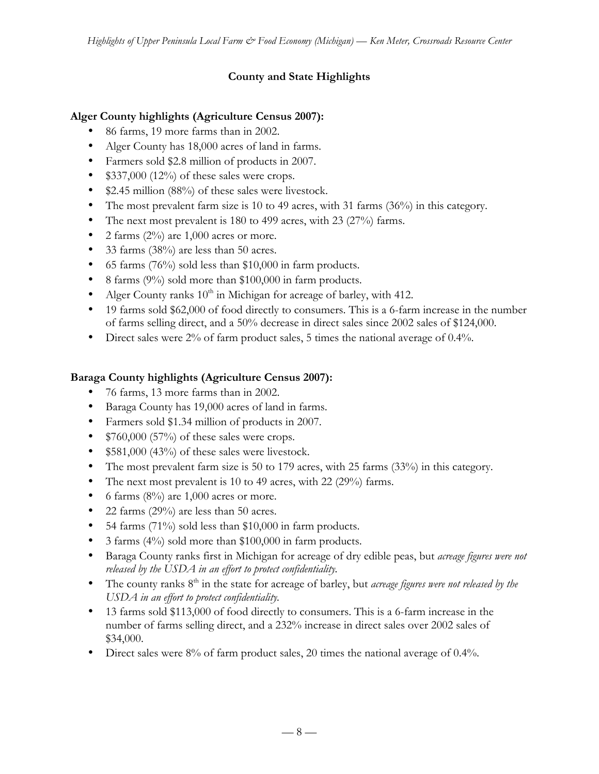# **County and State Highlights**

## **Alger County highlights (Agriculture Census 2007):**

- 86 farms, 19 more farms than in 2002.
- Alger County has 18,000 acres of land in farms.
- Farmers sold \$2.8 million of products in 2007.
- \$337,000 (12%) of these sales were crops.
- \$2.45 million (88%) of these sales were livestock.
- The most prevalent farm size is 10 to 49 acres, with 31 farms (36%) in this category.
- The next most prevalent is 180 to 499 acres, with 23 (27%) farms.
- 2 farms  $(2\%)$  are 1,000 acres or more.
- 33 farms (38%) are less than 50 acres.
- 65 farms (76%) sold less than \$10,000 in farm products.
- 8 farms (9%) sold more than \$100,000 in farm products.
- Alger County ranks  $10<sup>th</sup>$  in Michigan for acreage of barley, with 412.
- 19 farms sold \$62,000 of food directly to consumers. This is a 6-farm increase in the number of farms selling direct, and a 50% decrease in direct sales since 2002 sales of \$124,000.
- Direct sales were 2% of farm product sales, 5 times the national average of 0.4%.

# **Baraga County highlights (Agriculture Census 2007):**

- 76 farms, 13 more farms than in 2002.
- Baraga County has 19,000 acres of land in farms.
- Farmers sold \$1.34 million of products in 2007.
- \$760,000 (57%) of these sales were crops.
- \$581,000 (43%) of these sales were livestock.
- The most prevalent farm size is 50 to 179 acres, with 25 farms (33%) in this category.
- The next most prevalent is 10 to 49 acres, with 22 (29%) farms.
- 6 farms  $(8\%)$  are 1,000 acres or more.
- 22 farms (29%) are less than 50 acres.
- 54 farms (71%) sold less than \$10,000 in farm products.
- 3 farms (4%) sold more than \$100,000 in farm products.
- Baraga County ranks first in Michigan for acreage of dry edible peas, but *acreage figures were not released by the USDA in an effort to protect confidentiality.*
- The county ranks 8<sup>th</sup> in the state for acreage of barley, but *acreage figures were not released by the USDA in an effort to protect confidentiality.*
- 13 farms sold \$113,000 of food directly to consumers. This is a 6-farm increase in the number of farms selling direct, and a 232% increase in direct sales over 2002 sales of \$34,000.
- Direct sales were 8% of farm product sales, 20 times the national average of 0.4%.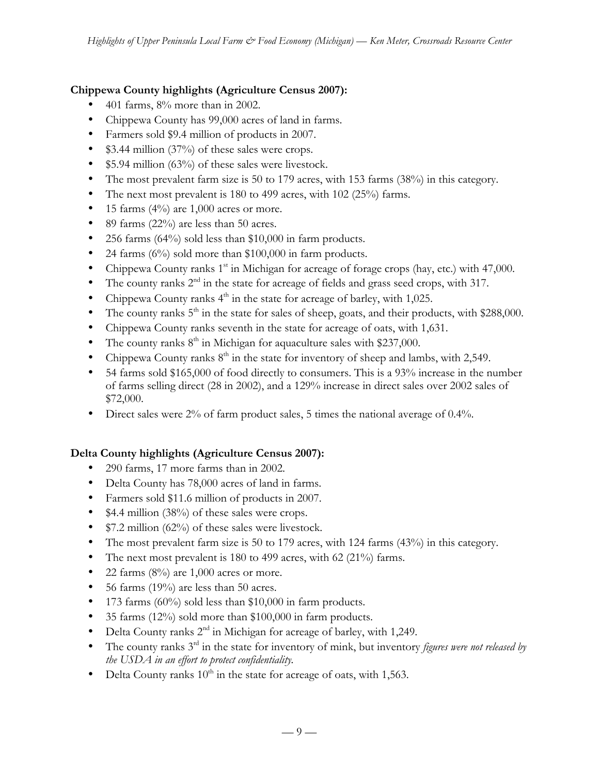# **Chippewa County highlights (Agriculture Census 2007):**

- 401 farms,  $8\%$  more than in 2002.
- Chippewa County has 99,000 acres of land in farms.
- Farmers sold \$9.4 million of products in 2007.
- \$3.44 million (37%) of these sales were crops.
- \$5.94 million (63%) of these sales were livestock.
- The most prevalent farm size is 50 to 179 acres, with 153 farms (38%) in this category.
- The next most prevalent is 180 to 499 acres, with  $102$  (25%) farms.
- 15 farms  $(4\%)$  are 1,000 acres or more.
- 89 farms (22%) are less than 50 acres.
- 256 farms (64%) sold less than \$10,000 in farm products.
- 24 farms (6%) sold more than \$100,000 in farm products.
- Chippewa County ranks  $1<sup>st</sup>$  in Michigan for acreage of forage crops (hay, etc.) with 47,000.
- The county ranks  $2<sup>nd</sup>$  in the state for acreage of fields and grass seed crops, with 317.
- Chippewa County ranks  $4<sup>th</sup>$  in the state for acreage of barley, with 1,025.
- The county ranks  $5<sup>th</sup>$  in the state for sales of sheep, goats, and their products, with \$288,000.
- Chippewa County ranks seventh in the state for acreage of oats, with 1,631.
- The county ranks  $8<sup>th</sup>$  in Michigan for aquaculture sales with \$237,000.
- Chippewa County ranks  $8<sup>th</sup>$  in the state for inventory of sheep and lambs, with 2,549.
- 54 farms sold \$165,000 of food directly to consumers. This is a 93% increase in the number of farms selling direct (28 in 2002), and a 129% increase in direct sales over 2002 sales of \$72,000.
- Direct sales were 2% of farm product sales, 5 times the national average of 0.4%.

# **Delta County highlights (Agriculture Census 2007):**

- 290 farms, 17 more farms than in 2002.
- Delta County has 78,000 acres of land in farms.
- Farmers sold \$11.6 million of products in 2007.
- \$4.4 million (38%) of these sales were crops.
- \$7.2 million (62%) of these sales were livestock.
- The most prevalent farm size is 50 to 179 acres, with 124 farms (43%) in this category.
- The next most prevalent is 180 to 499 acres, with 62 (21%) farms.
- 22 farms  $(8\%)$  are 1,000 acres or more.
- 56 farms  $(19\%)$  are less than 50 acres.
- 173 farms (60%) sold less than \$10,000 in farm products.
- 35 farms (12%) sold more than \$100,000 in farm products.
- Delta County ranks  $2<sup>nd</sup>$  in Michigan for acreage of barley, with 1,249.
- The county ranks 3<sup>rd</sup> in the state for inventory of mink, but inventory *figures were not released by the USDA in an effort to protect confidentiality.*
- Delta County ranks  $10^{th}$  in the state for acreage of oats, with 1,563.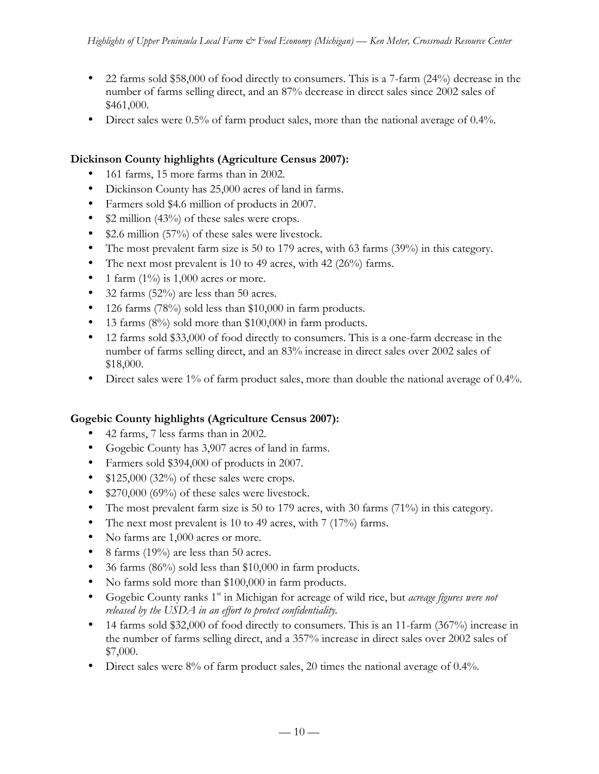- 22 farms sold \$58,000 of food directly to consumers. This is a 7-farm (24%) decrease in the number of farms selling direct, and an 87% decrease in direct sales since 2002 sales of \$461,000.
- Direct sales were 0.5% of farm product sales, more than the national average of 0.4%.

# **Dickinson County highlights (Agriculture Census 2007):**

- 161 farms, 15 more farms than in 2002.
- Dickinson County has 25,000 acres of land in farms.
- Farmers sold \$4.6 million of products in 2007.
- \$2 million (43%) of these sales were crops.
- \$2.6 million (57%) of these sales were livestock.
- The most prevalent farm size is 50 to 179 acres, with 63 farms (39%) in this category.
- The next most prevalent is 10 to 49 acres, with 42 (26%) farms.
- 1 farm  $(1\%)$  is 1,000 acres or more.
- 32 farms (52%) are less than 50 acres.
- 126 farms (78%) sold less than \$10,000 in farm products.
- 13 farms (8%) sold more than \$100,000 in farm products.
- 12 farms sold \$33,000 of food directly to consumers. This is a one-farm decrease in the number of farms selling direct, and an 83% increase in direct sales over 2002 sales of \$18,000.
- Direct sales were 1% of farm product sales, more than double the national average of 0.4%.

# **Gogebic County highlights (Agriculture Census 2007):**

- 42 farms, 7 less farms than in 2002.
- Gogebic County has 3,907 acres of land in farms.
- Farmers sold \$394,000 of products in 2007.
- $$125,000$  (32%) of these sales were crops.
- \$270,000 (69%) of these sales were livestock.
- The most prevalent farm size is 50 to 179 acres, with 30 farms (71%) in this category.
- The next most prevalent is 10 to 49 acres, with 7 (17%) farms.
- No farms are 1,000 acres or more.
- 8 farms (19%) are less than 50 acres.
- 36 farms (86%) sold less than \$10,000 in farm products.
- No farms sold more than \$100,000 in farm products.
- Gogebic County ranks 1st in Michigan for acreage of wild rice, but *acreage figures were not released by the USDA in an effort to protect confidentiality.*
- 14 farms sold \$32,000 of food directly to consumers. This is an 11-farm (367%) increase in the number of farms selling direct, and a 357% increase in direct sales over 2002 sales of \$7,000.
- Direct sales were 8% of farm product sales, 20 times the national average of 0.4%.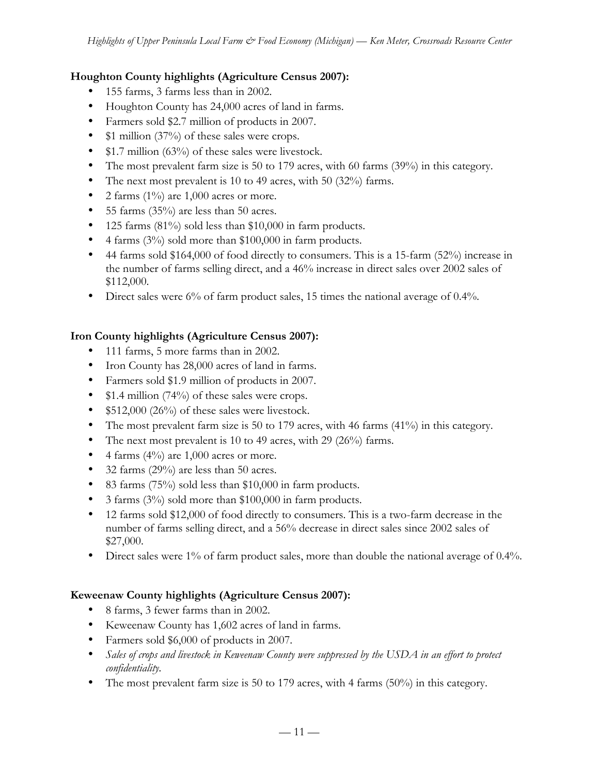## **Houghton County highlights (Agriculture Census 2007):**

- 155 farms, 3 farms less than in 2002.
- Houghton County has 24,000 acres of land in farms.
- Farmers sold \$2.7 million of products in 2007.
- \$1 million (37%) of these sales were crops.
- \$1.7 million (63%) of these sales were livestock.
- The most prevalent farm size is 50 to 179 acres, with 60 farms (39%) in this category.
- The next most prevalent is 10 to 49 acres, with 50 (32%) farms.
- 2 farms  $(1\%)$  are 1,000 acres or more.
- 55 farms (35%) are less than 50 acres.
- 125 farms (81%) sold less than \$10,000 in farm products.
- 4 farms (3%) sold more than \$100,000 in farm products.
- 44 farms sold \$164,000 of food directly to consumers. This is a 15-farm (52%) increase in the number of farms selling direct, and a 46% increase in direct sales over 2002 sales of \$112,000.
- Direct sales were 6% of farm product sales, 15 times the national average of 0.4%.

# **Iron County highlights (Agriculture Census 2007):**

- 111 farms, 5 more farms than in 2002.
- Iron County has 28,000 acres of land in farms.
- Farmers sold \$1.9 million of products in 2007.
- \$1.4 million (74%) of these sales were crops.
- \$512,000 (26%) of these sales were livestock.
- The most prevalent farm size is 50 to 179 acres, with 46 farms (41%) in this category.
- The next most prevalent is 10 to 49 acres, with 29 (26%) farms.
- 4 farms  $(4\%)$  are 1,000 acres or more.
- 32 farms (29%) are less than 50 acres.
- 83 farms (75%) sold less than \$10,000 in farm products.
- 3 farms (3%) sold more than \$100,000 in farm products.
- 12 farms sold \$12,000 of food directly to consumers. This is a two-farm decrease in the number of farms selling direct, and a 56% decrease in direct sales since 2002 sales of \$27,000.
- Direct sales were 1% of farm product sales, more than double the national average of 0.4%.

# **Keweenaw County highlights (Agriculture Census 2007):**

- 8 farms, 3 fewer farms than in 2002.
- Keweenaw County has 1,602 acres of land in farms.
- Farmers sold \$6,000 of products in 2007.
- Sales of crops and livestock in Keweenaw County were suppressed by the USDA in an effort to protect *confidentiality.*
- The most prevalent farm size is 50 to 179 acres, with 4 farms (50%) in this category.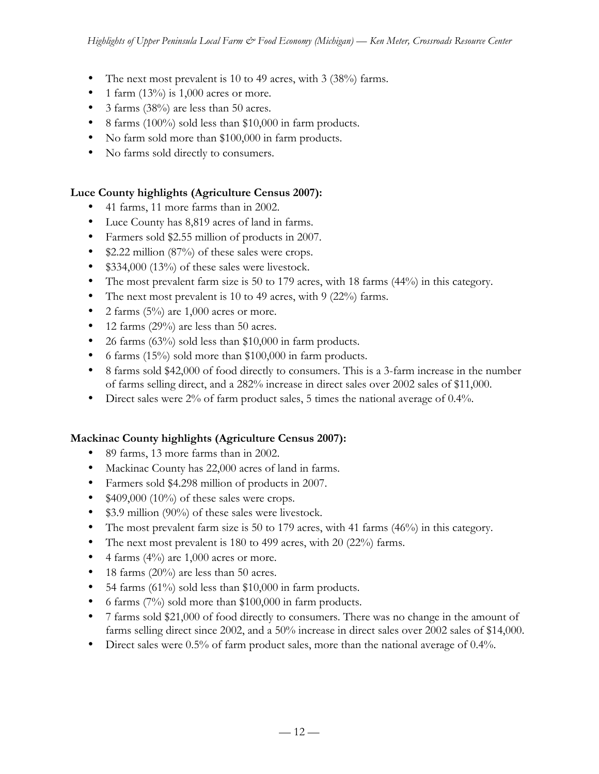- The next most prevalent is 10 to 49 acres, with 3 (38%) farms.
- 1 farm  $(13\%)$  is 1,000 acres or more.
- 3 farms (38%) are less than 50 acres.
- 8 farms (100%) sold less than \$10,000 in farm products.
- No farm sold more than \$100,000 in farm products.
- No farms sold directly to consumers.

# **Luce County highlights (Agriculture Census 2007):**

- 41 farms, 11 more farms than in 2002.
- Luce County has 8,819 acres of land in farms.
- Farmers sold \$2.55 million of products in 2007.
- \$2.22 million (87%) of these sales were crops.
- \$334,000 (13%) of these sales were livestock.
- The most prevalent farm size is 50 to 179 acres, with 18 farms (44%) in this category.
- The next most prevalent is 10 to 49 acres, with 9 (22%) farms.
- 2 farms  $(5\%)$  are 1,000 acres or more.
- 12 farms (29%) are less than 50 acres.
- 26 farms  $(63\%)$  sold less than \$10,000 in farm products.
- 6 farms  $(15\%)$  sold more than \$100,000 in farm products.
- 8 farms sold \$42,000 of food directly to consumers. This is a 3-farm increase in the number of farms selling direct, and a 282% increase in direct sales over 2002 sales of \$11,000.
- Direct sales were 2% of farm product sales, 5 times the national average of 0.4%.

# **Mackinac County highlights (Agriculture Census 2007):**

- 89 farms, 13 more farms than in 2002.
- Mackinac County has 22,000 acres of land in farms.
- Farmers sold \$4.298 million of products in 2007.
- $$409,000 (10\%)$  of these sales were crops.
- \$3.9 million (90%) of these sales were livestock.
- The most prevalent farm size is 50 to 179 acres, with 41 farms  $(46%)$  in this category.
- The next most prevalent is 180 to 499 acres, with 20 (22%) farms.
- 4 farms  $(4\%)$  are 1,000 acres or more.
- 18 farms  $(20\%)$  are less than 50 acres.
- 54 farms  $(61\%)$  sold less than \$10,000 in farm products.
- 6 farms (7%) sold more than \$100,000 in farm products.
- 7 farms sold \$21,000 of food directly to consumers. There was no change in the amount of farms selling direct since 2002, and a 50% increase in direct sales over 2002 sales of \$14,000.
- Direct sales were 0.5% of farm product sales, more than the national average of 0.4%.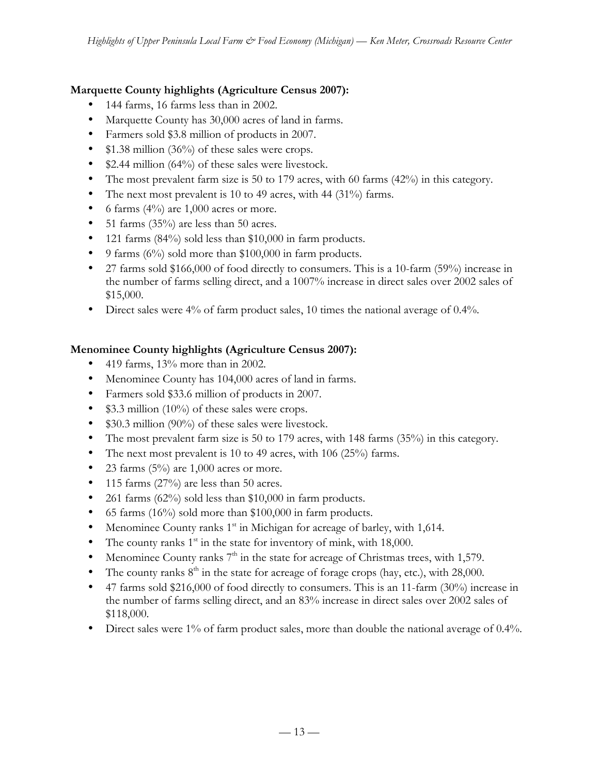# **Marquette County highlights (Agriculture Census 2007):**

- 144 farms, 16 farms less than in 2002.
- Marquette County has 30,000 acres of land in farms.
- Farmers sold \$3.8 million of products in 2007.
- \$1.38 million (36%) of these sales were crops.
- \$2.44 million (64%) of these sales were livestock.
- The most prevalent farm size is 50 to 179 acres, with 60 farms (42%) in this category.
- The next most prevalent is 10 to 49 acres, with 44 (31%) farms.
- 6 farms  $(4\%)$  are 1,000 acres or more.
- 51 farms  $(35\%)$  are less than 50 acres.
- 121 farms (84%) sold less than \$10,000 in farm products.
- 9 farms  $(6\%)$  sold more than \$100,000 in farm products.
- 27 farms sold \$166,000 of food directly to consumers. This is a 10-farm (59%) increase in the number of farms selling direct, and a 1007% increase in direct sales over 2002 sales of \$15,000.
- Direct sales were 4% of farm product sales, 10 times the national average of 0.4%.

# **Menominee County highlights (Agriculture Census 2007):**

- 419 farms, 13% more than in 2002.
- Menominee County has 104,000 acres of land in farms.
- Farmers sold \$33.6 million of products in 2007.
- \$3.3 million (10%) of these sales were crops.
- \$30.3 million (90%) of these sales were livestock.
- The most prevalent farm size is 50 to 179 acres, with 148 farms (35%) in this category.
- The next most prevalent is 10 to 49 acres, with 106  $(25\%)$  farms.
- 23 farms  $(5\%)$  are 1,000 acres or more.
- 115 farms (27%) are less than 50 acres.
- 261 farms (62%) sold less than \$10,000 in farm products.
- 65 farms (16%) sold more than \$100,000 in farm products.
- Menominee County ranks  $1<sup>st</sup>$  in Michigan for acreage of barley, with 1,614.
- The county ranks  $1<sup>st</sup>$  in the state for inventory of mink, with 18,000.
- Menominee County ranks  $7<sup>th</sup>$  in the state for acreage of Christmas trees, with 1,579.
- The county ranks  $8<sup>th</sup>$  in the state for acreage of forage crops (hay, etc.), with 28,000.
- 47 farms sold \$216,000 of food directly to consumers. This is an 11-farm (30%) increase in the number of farms selling direct, and an 83% increase in direct sales over 2002 sales of \$118,000.
- Direct sales were 1% of farm product sales, more than double the national average of 0.4%.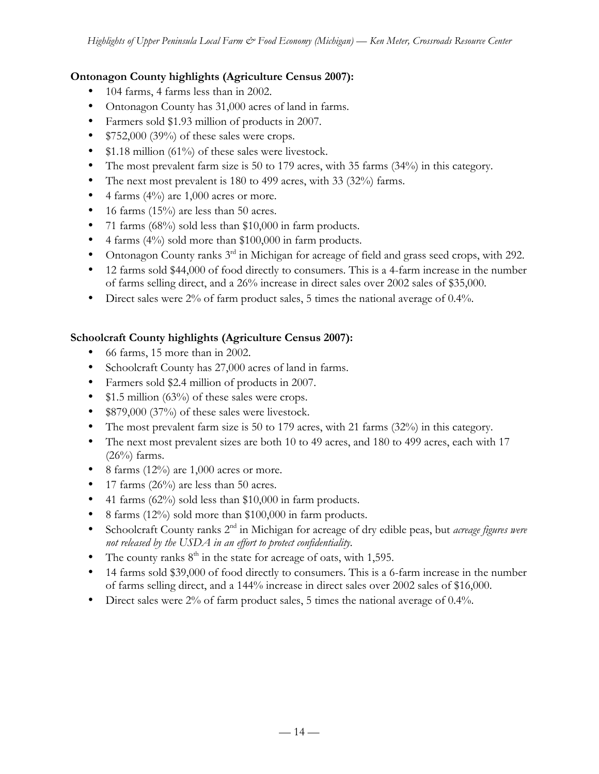# **Ontonagon County highlights (Agriculture Census 2007):**

- 104 farms, 4 farms less than in 2002.
- Ontonagon County has 31,000 acres of land in farms.
- Farmers sold \$1.93 million of products in 2007.
- $$752,000 (39%)$  of these sales were crops.
- \$1.18 million (61%) of these sales were livestock.
- The most prevalent farm size is 50 to 179 acres, with 35 farms (34%) in this category.
- The next most prevalent is 180 to 499 acres, with 33 (32%) farms.
- 4 farms  $(4\%)$  are 1,000 acres or more.
- 16 farms  $(15\%)$  are less than 50 acres.
- 71 farms (68%) sold less than \$10,000 in farm products.
- 4 farms  $(4\%)$  sold more than \$100,000 in farm products.
- Ontonagon County ranks 3<sup>rd</sup> in Michigan for acreage of field and grass seed crops, with 292.
- 12 farms sold \$44,000 of food directly to consumers. This is a 4-farm increase in the number of farms selling direct, and a 26% increase in direct sales over 2002 sales of \$35,000.
- Direct sales were 2% of farm product sales, 5 times the national average of 0.4%.

# **Schoolcraft County highlights (Agriculture Census 2007):**

- 66 farms, 15 more than in 2002.
- Schoolcraft County has 27,000 acres of land in farms.
- Farmers sold \$2.4 million of products in 2007.
- \$1.5 million (63%) of these sales were crops.
- \$879,000 (37%) of these sales were livestock.
- The most prevalent farm size is 50 to 179 acres, with 21 farms (32%) in this category.
- The next most prevalent sizes are both 10 to 49 acres, and 180 to 499 acres, each with 17  $(26\%)$  farms.
- 8 farms  $(12\%)$  are 1,000 acres or more.
- 17 farms  $(26\%)$  are less than 50 acres.
- 41 farms (62%) sold less than \$10,000 in farm products.
- 8 farms (12%) sold more than \$100,000 in farm products.
- Schoolcraft County ranks 2<sup>nd</sup> in Michigan for acreage of dry edible peas, but *acreage figures were not released by the USDA in an effort to protect confidentiality.*
- The county ranks  $8<sup>th</sup>$  in the state for acreage of oats, with 1,595.
- 14 farms sold \$39,000 of food directly to consumers. This is a 6-farm increase in the number of farms selling direct, and a 144% increase in direct sales over 2002 sales of \$16,000.
- Direct sales were 2% of farm product sales, 5 times the national average of 0.4%.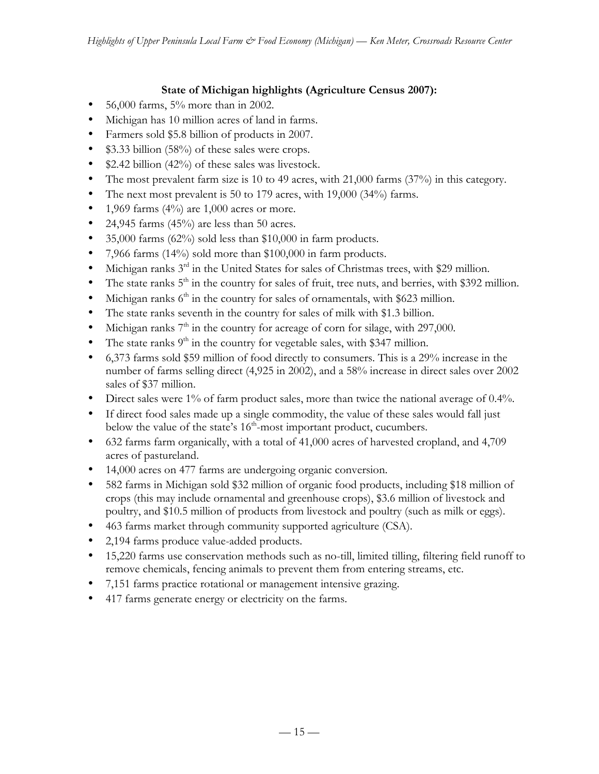# **State of Michigan highlights (Agriculture Census 2007):**

- 56,000 farms, 5% more than in 2002.
- Michigan has 10 million acres of land in farms.
- Farmers sold \$5.8 billion of products in 2007.
- \$3.33 billion (58%) of these sales were crops.
- \$2.42 billion (42%) of these sales was livestock.
- The most prevalent farm size is 10 to 49 acres, with 21,000 farms (37%) in this category.
- The next most prevalent is 50 to 179 acres, with 19,000 (34%) farms.
- 1,969 farms  $(4\%)$  are 1,000 acres or more.
- 24,945 farms  $(45%)$  are less than 50 acres.
- 35,000 farms  $(62\%)$  sold less than \$10,000 in farm products.
- 7,966 farms (14%) sold more than \$100,000 in farm products.
- Michigan ranks  $3<sup>rd</sup>$  in the United States for sales of Christmas trees, with \$29 million.
- The state ranks  $5<sup>th</sup>$  in the country for sales of fruit, tree nuts, and berries, with \$392 million.
- Michigan ranks  $6<sup>th</sup>$  in the country for sales of ornamentals, with \$623 million.
- The state ranks seventh in the country for sales of milk with \$1.3 billion.
- Michigan ranks  $7<sup>th</sup>$  in the country for acreage of corn for silage, with 297,000.
- The state ranks  $9<sup>th</sup>$  in the country for vegetable sales, with \$347 million.
- 6,373 farms sold \$59 million of food directly to consumers. This is a 29% increase in the number of farms selling direct (4,925 in 2002), and a 58% increase in direct sales over 2002 sales of \$37 million.
- Direct sales were 1% of farm product sales, more than twice the national average of 0.4%.
- If direct food sales made up a single commodity, the value of these sales would fall just below the value of the state's  $16<sup>th</sup>$ -most important product, cucumbers.
- 632 farms farm organically, with a total of 41,000 acres of harvested cropland, and 4,709 acres of pastureland.
- 14,000 acres on 477 farms are undergoing organic conversion.
- 582 farms in Michigan sold \$32 million of organic food products, including \$18 million of crops (this may include ornamental and greenhouse crops), \$3.6 million of livestock and poultry, and \$10.5 million of products from livestock and poultry (such as milk or eggs).
- 463 farms market through community supported agriculture (CSA).
- 2,194 farms produce value-added products.
- 15,220 farms use conservation methods such as no-till, limited tilling, filtering field runoff to remove chemicals, fencing animals to prevent them from entering streams, etc.
- 7,151 farms practice rotational or management intensive grazing.
- 417 farms generate energy or electricity on the farms.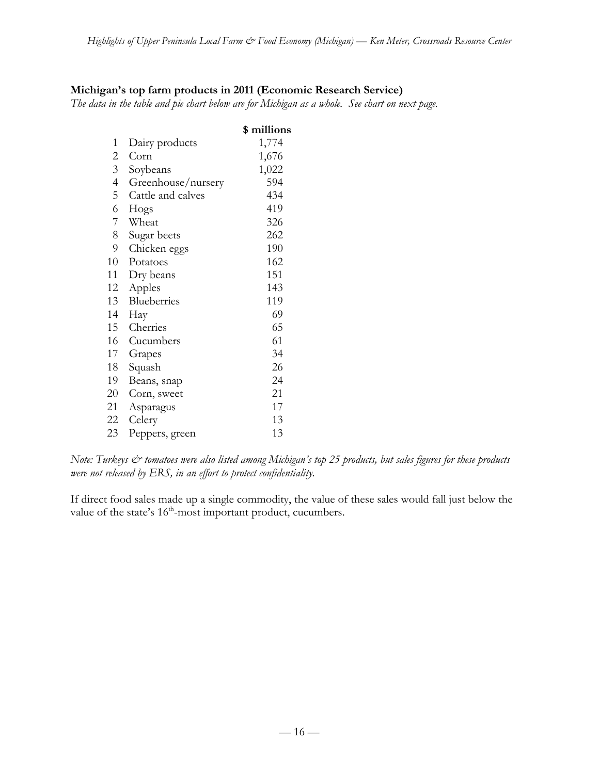## **Michigan's top farm products in 2011 (Economic Research Service)**

*The data in the table and pie chart below are for Michigan as a whole. See chart on next page.*

|                |                    | \$ millions |
|----------------|--------------------|-------------|
| 1              | Dairy products     | 1,774       |
| $\overline{c}$ | Corn               | 1,676       |
| $\overline{3}$ | Soybeans           | 1,022       |
| $\overline{4}$ | Greenhouse/nursery | 594         |
| $\mathsf S$    | Cattle and calves  | 434         |
| 6              | Hogs               | 419         |
| 7              | Wheat              | 326         |
| 8              | Sugar beets        | 262         |
| 9              | Chicken eggs       | 190         |
| 10             | Potatoes           | 162         |
| 11             | Dry beans          | 151         |
| 12             | Apples             | 143         |
| 13             | Blueberries        | 119         |
| 14             | Hay                | 69          |
| 15             | Cherries           | 65          |
| 16             | Cucumbers          | 61          |
| 17             | Grapes             | 34          |
| 18             | Squash             | 26          |
| 19             | Beans, snap        | 24          |
| 20             | Corn, sweet        | 21          |
| 21             | Asparagus          | 17          |
| 22             | Celery             | 13          |
| 23             | Peppers, green     | 13          |

*Note: Turkeys & tomatoes were also listed among Michigan's top 25 products, but sales figures for these products were not released by ERS, in an effort to protect confidentiality.*

If direct food sales made up a single commodity, the value of these sales would fall just below the value of the state's 16<sup>th</sup>-most important product, cucumbers.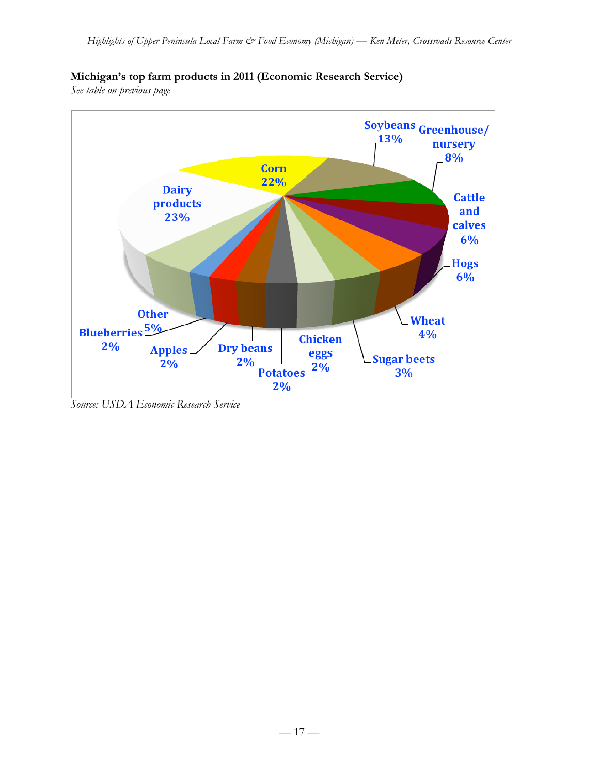

## **Michigan's top farm products in 2011 (Economic Research Service)**

*See table on previous page*

*Source: USDA Economic Research Service*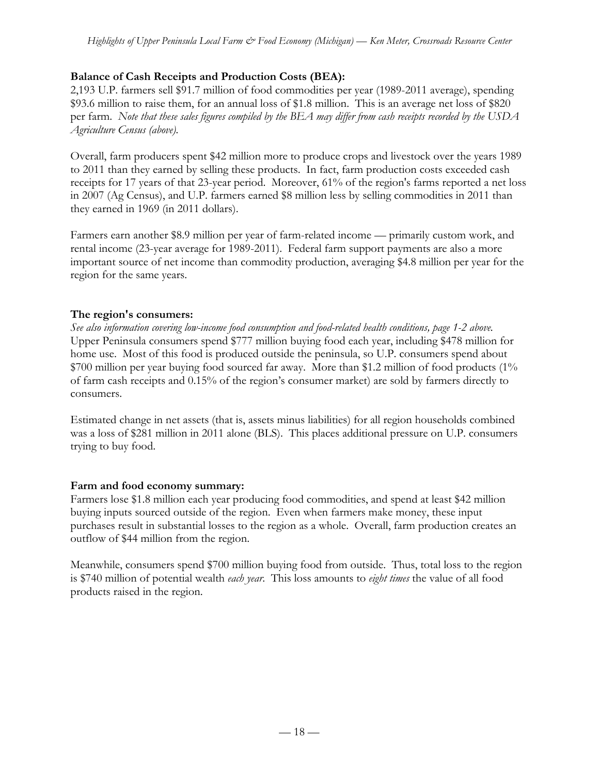## **Balance of Cash Receipts and Production Costs (BEA):**

2,193 U.P. farmers sell \$91.7 million of food commodities per year (1989-2011 average), spending \$93.6 million to raise them, for an annual loss of \$1.8 million. This is an average net loss of \$820 per farm. *Note that these sales figures compiled by the BEA may differ from cash receipts recorded by the USDA Agriculture Census (above).*

Overall, farm producers spent \$42 million more to produce crops and livestock over the years 1989 to 2011 than they earned by selling these products. In fact, farm production costs exceeded cash receipts for 17 years of that 23-year period. Moreover, 61% of the region's farms reported a net loss in 2007 (Ag Census), and U.P. farmers earned \$8 million less by selling commodities in 2011 than they earned in 1969 (in 2011 dollars).

Farmers earn another \$8.9 million per year of farm-related income — primarily custom work, and rental income (23-year average for 1989-2011). Federal farm support payments are also a more important source of net income than commodity production, averaging \$4.8 million per year for the region for the same years.

## **The region's consumers:**

*See also information covering low-income food consumption and food-related health conditions, page 1-2 above.* Upper Peninsula consumers spend \$777 million buying food each year, including \$478 million for home use. Most of this food is produced outside the peninsula, so U.P. consumers spend about \$700 million per year buying food sourced far away. More than \$1.2 million of food products (1% of farm cash receipts and 0.15% of the region's consumer market) are sold by farmers directly to consumers.

Estimated change in net assets (that is, assets minus liabilities) for all region households combined was a loss of \$281 million in 2011 alone (BLS). This places additional pressure on U.P. consumers trying to buy food.

### **Farm and food economy summary:**

Farmers lose \$1.8 million each year producing food commodities, and spend at least \$42 million buying inputs sourced outside of the region. Even when farmers make money, these input purchases result in substantial losses to the region as a whole. Overall, farm production creates an outflow of \$44 million from the region.

Meanwhile, consumers spend \$700 million buying food from outside. Thus, total loss to the region is \$740 million of potential wealth *each year*. This loss amounts to *eight times* the value of all food products raised in the region.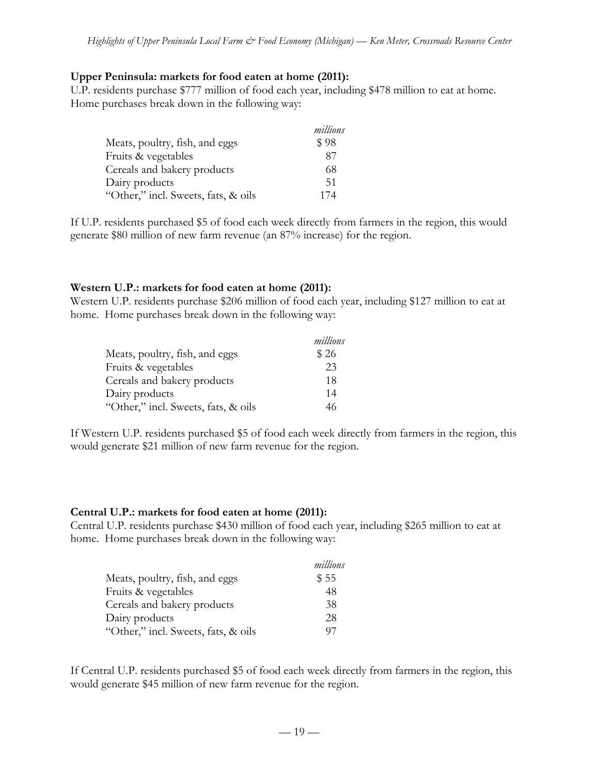#### **Upper Peninsula: markets for food eaten at home (2011):**

U.P. residents purchase \$777 million of food each year, including \$478 million to eat at home. Home purchases break down in the following way:

|                                     | millions |
|-------------------------------------|----------|
| Meats, poultry, fish, and eggs      | \$98     |
| Fruits & vegetables                 | 87       |
| Cereals and bakery products         | 68       |
| Dairy products                      | 51       |
| "Other," incl. Sweets, fats, & oils | 174      |

If U.P. residents purchased \$5 of food each week directly from farmers in the region, this would generate \$80 million of new farm revenue (an 87% increase) for the region.

### **Western U.P.: markets for food eaten at home (2011):**

Western U.P. residents purchase \$206 million of food each year, including \$127 million to eat at home. Home purchases break down in the following way:

|                                     | millions |
|-------------------------------------|----------|
| Meats, poultry, fish, and eggs      | \$26     |
| Fruits & vegetables                 | 23       |
| Cereals and bakery products         | 18       |
| Dairy products                      | 14       |
| "Other," incl. Sweets, fats, & oils | 46       |

If Western U.P. residents purchased \$5 of food each week directly from farmers in the region, this would generate \$21 million of new farm revenue for the region.

#### **Central U.P.: markets for food eaten at home (2011):**

Central U.P. residents purchase \$430 million of food each year, including \$265 million to eat at home. Home purchases break down in the following way:

|                                     | millions |
|-------------------------------------|----------|
| Meats, poultry, fish, and eggs      | \$55     |
| Fruits & vegetables                 | 48       |
| Cereals and bakery products         | 38       |
| Dairy products                      | 28       |
| "Other," incl. Sweets, fats, & oils | 97       |

If Central U.P. residents purchased \$5 of food each week directly from farmers in the region, this would generate \$45 million of new farm revenue for the region.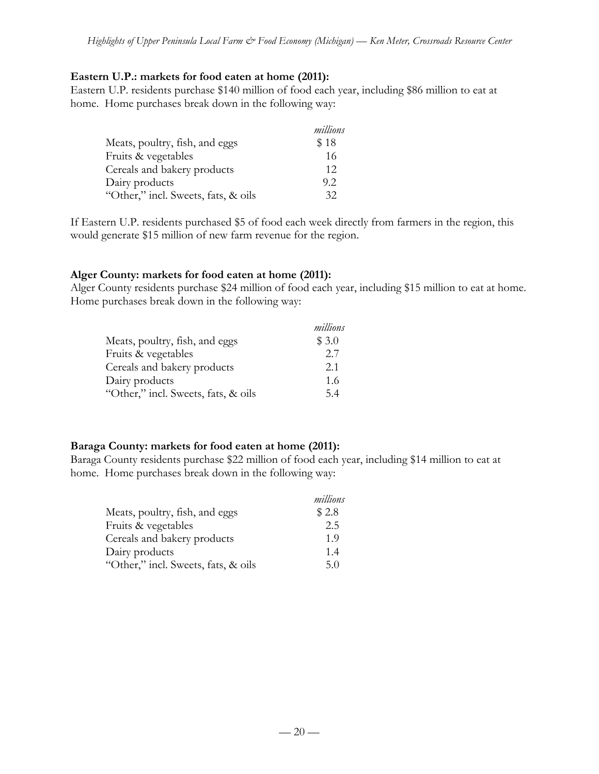### **Eastern U.P.: markets for food eaten at home (2011):**

Eastern U.P. residents purchase \$140 million of food each year, including \$86 million to eat at home. Home purchases break down in the following way:

|                                     | millions |
|-------------------------------------|----------|
| Meats, poultry, fish, and eggs      | \$18     |
| Fruits & vegetables                 | 16       |
| Cereals and bakery products         | 12       |
| Dairy products                      | 9.2      |
| "Other," incl. Sweets, fats, & oils | 32       |

If Eastern U.P. residents purchased \$5 of food each week directly from farmers in the region, this would generate \$15 million of new farm revenue for the region.

### **Alger County: markets for food eaten at home (2011):**

Alger County residents purchase \$24 million of food each year, including \$15 million to eat at home. Home purchases break down in the following way:

|                                     | millions |
|-------------------------------------|----------|
| Meats, poultry, fish, and eggs      | \$3.0    |
| Fruits & vegetables                 | 2.7      |
| Cereals and bakery products         | 2.1      |
| Dairy products                      | 1.6      |
| "Other," incl. Sweets, fats, & oils | 54       |

# **Baraga County: markets for food eaten at home (2011):**

Baraga County residents purchase \$22 million of food each year, including \$14 million to eat at home. Home purchases break down in the following way:

|                                     | millions |
|-------------------------------------|----------|
| Meats, poultry, fish, and eggs      | \$2.8    |
| Fruits & vegetables                 | 2.5      |
| Cereals and bakery products         | 1.9      |
| Dairy products                      | 1.4      |
| "Other," incl. Sweets, fats, & oils | 5.0      |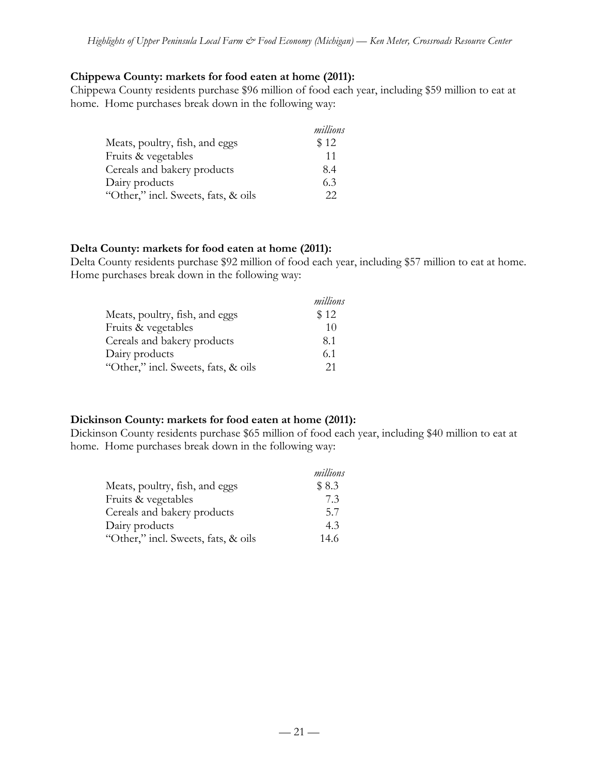### **Chippewa County: markets for food eaten at home (2011):**

Chippewa County residents purchase \$96 million of food each year, including \$59 million to eat at home. Home purchases break down in the following way:

|                                     | millions |
|-------------------------------------|----------|
| Meats, poultry, fish, and eggs      | \$12     |
| Fruits & vegetables                 | 11       |
| Cereals and bakery products         | 8.4      |
| Dairy products                      | 6.3      |
| "Other," incl. Sweets, fats, & oils | 22       |

#### **Delta County: markets for food eaten at home (2011):**

Delta County residents purchase \$92 million of food each year, including \$57 million to eat at home. Home purchases break down in the following way:

|                                     | millions |
|-------------------------------------|----------|
| Meats, poultry, fish, and eggs      | \$12     |
| Fruits & vegetables                 | 10       |
| Cereals and bakery products         | 8.1      |
| Dairy products                      | 6.1      |
| "Other," incl. Sweets, fats, & oils | 21       |

### **Dickinson County: markets for food eaten at home (2011):**

Dickinson County residents purchase \$65 million of food each year, including \$40 million to eat at home. Home purchases break down in the following way:

|                                     | millions |
|-------------------------------------|----------|
| Meats, poultry, fish, and eggs      | \$8.3    |
| Fruits & vegetables                 | 7.3      |
| Cereals and bakery products         | 5.7      |
| Dairy products                      | 4.3      |
| "Other," incl. Sweets, fats, & oils | 14.6     |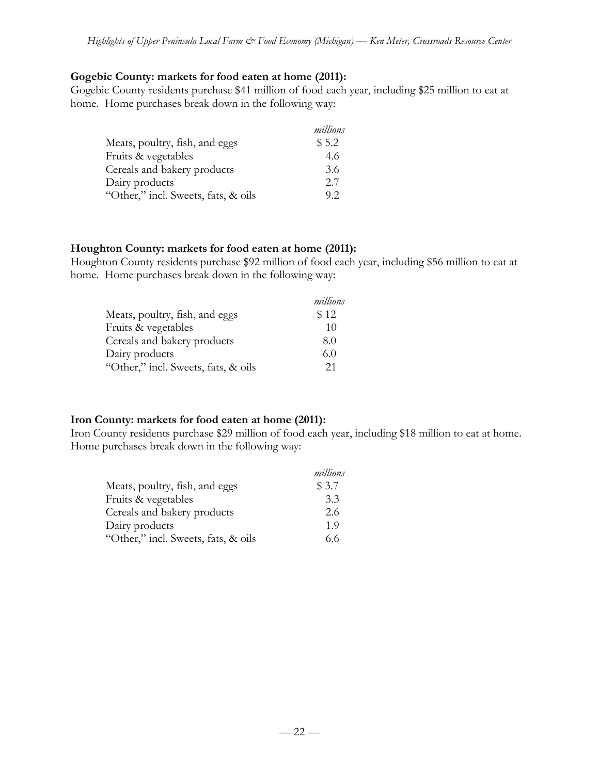### **Gogebic County: markets for food eaten at home (2011):**

Gogebic County residents purchase \$41 million of food each year, including \$25 million to eat at home. Home purchases break down in the following way:

|                                     | millions |
|-------------------------------------|----------|
| Meats, poultry, fish, and eggs      | \$5.2    |
| Fruits & vegetables                 | 4.6      |
| Cereals and bakery products         | 3.6      |
| Dairy products                      | 2.7      |
| "Other," incl. Sweets, fats, & oils | 92       |

### **Houghton County: markets for food eaten at home (2011):**

Houghton County residents purchase \$92 million of food each year, including \$56 million to eat at home. Home purchases break down in the following way:

|                                     | millions |
|-------------------------------------|----------|
| Meats, poultry, fish, and eggs      | \$12     |
| Fruits & vegetables                 | 10       |
| Cereals and bakery products         | 8.0      |
| Dairy products                      | 6.0      |
| "Other," incl. Sweets, fats, & oils | 21       |

# **Iron County: markets for food eaten at home (2011):**

Iron County residents purchase \$29 million of food each year, including \$18 million to eat at home. Home purchases break down in the following way:

|                                     | millions |
|-------------------------------------|----------|
| Meats, poultry, fish, and eggs      | \$3.7    |
| Fruits & vegetables                 | 3.3      |
| Cereals and bakery products         | 2.6      |
| Dairy products                      | 1.9      |
| "Other," incl. Sweets, fats, & oils | 6.6      |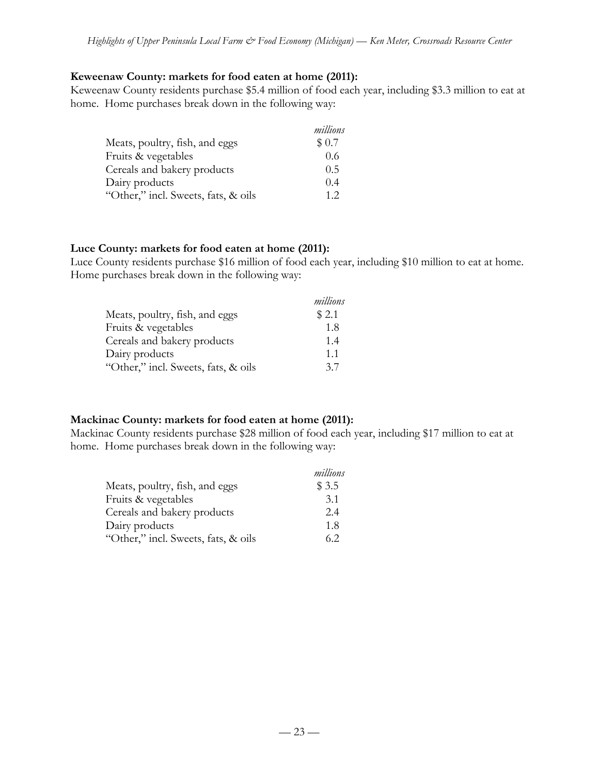### **Keweenaw County: markets for food eaten at home (2011):**

Keweenaw County residents purchase \$5.4 million of food each year, including \$3.3 million to eat at home. Home purchases break down in the following way:

|                                     | millions |
|-------------------------------------|----------|
| Meats, poultry, fish, and eggs      | \$0.7    |
| Fruits & vegetables                 | 0.6      |
| Cereals and bakery products         | 0.5      |
| Dairy products                      | 0.4      |
| "Other," incl. Sweets, fats, & oils | 12       |

### **Luce County: markets for food eaten at home (2011):**

Luce County residents purchase \$16 million of food each year, including \$10 million to eat at home. Home purchases break down in the following way:

|                                     | millions |
|-------------------------------------|----------|
| Meats, poultry, fish, and eggs      | \$2.1    |
| Fruits & vegetables                 | 1.8      |
| Cereals and bakery products         | 1.4      |
| Dairy products                      | 11       |
| "Other," incl. Sweets, fats, & oils | 37       |

### **Mackinac County: markets for food eaten at home (2011):**

Mackinac County residents purchase \$28 million of food each year, including \$17 million to eat at home. Home purchases break down in the following way:

|                                     | millions |
|-------------------------------------|----------|
| Meats, poultry, fish, and eggs      | \$3.5    |
| Fruits & vegetables                 | 3.1      |
| Cereals and bakery products         | 2.4      |
| Dairy products                      | 1.8      |
| "Other," incl. Sweets, fats, & oils | 6.2      |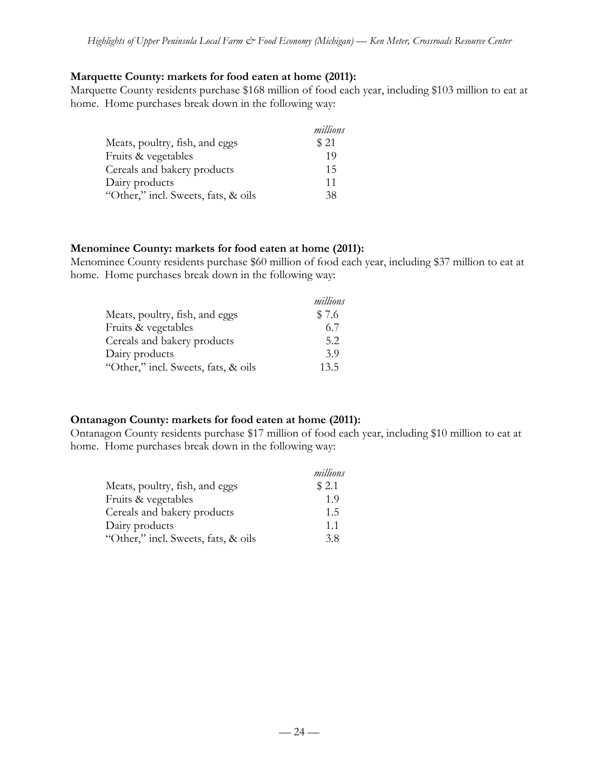### **Marquette County: markets for food eaten at home (2011):**

Marquette County residents purchase \$168 million of food each year, including \$103 million to eat at home. Home purchases break down in the following way:

|                                     | millions |
|-------------------------------------|----------|
| Meats, poultry, fish, and eggs      | \$21     |
| Fruits & vegetables                 | 19       |
| Cereals and bakery products         | 15       |
| Dairy products                      | 11       |
| "Other," incl. Sweets, fats, & oils | 38       |

#### **Menominee County: markets for food eaten at home (2011):**

Menominee County residents purchase \$60 million of food each year, including \$37 million to eat at home. Home purchases break down in the following way:

|                                     | millions |
|-------------------------------------|----------|
| Meats, poultry, fish, and eggs      | \$7.6    |
| Fruits & vegetables                 | 6.7      |
| Cereals and bakery products         | 5.2      |
| Dairy products                      | 3.9      |
| "Other," incl. Sweets, fats, & oils | 13.5     |

### **Ontanagon County: markets for food eaten at home (2011):**

Ontanagon County residents purchase \$17 million of food each year, including \$10 million to eat at home. Home purchases break down in the following way:

|                                     | millions |
|-------------------------------------|----------|
| Meats, poultry, fish, and eggs      | \$2.1    |
| Fruits & vegetables                 | 1.9      |
| Cereals and bakery products         | 1.5      |
| Dairy products                      | 1.1      |
| "Other," incl. Sweets, fats, & oils | 38       |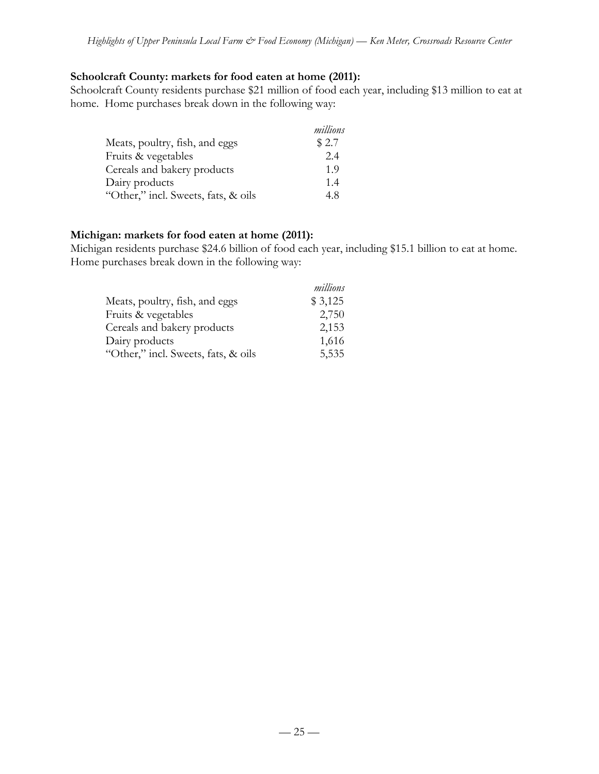### **Schoolcraft County: markets for food eaten at home (2011):**

Schoolcraft County residents purchase \$21 million of food each year, including \$13 million to eat at home. Home purchases break down in the following way:

|                                     | millions |
|-------------------------------------|----------|
| Meats, poultry, fish, and eggs      | \$2.7    |
| Fruits & vegetables                 | 2.4      |
| Cereals and bakery products         | 1.9      |
| Dairy products                      | 1.4      |
| "Other," incl. Sweets, fats, & oils | 4.8      |

### **Michigan: markets for food eaten at home (2011):**

Michigan residents purchase \$24.6 billion of food each year, including \$15.1 billion to eat at home. Home purchases break down in the following way:

|                                     | millions |
|-------------------------------------|----------|
| Meats, poultry, fish, and eggs      | \$3,125  |
| Fruits & vegetables                 | 2,750    |
| Cereals and bakery products         | 2,153    |
| Dairy products                      | 1,616    |
| "Other," incl. Sweets, fats, & oils | 5,535    |